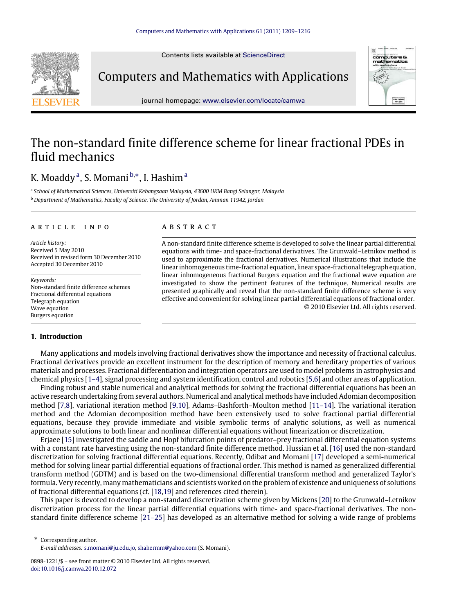Contents lists available at [ScienceDirect](http://www.elsevier.com/locate/camwa)



Computers and Mathematics with Applications



journal homepage: [www.elsevier.com/locate/camwa](http://www.elsevier.com/locate/camwa)

# The non-standard finite difference scheme for linear fractional PDEs in fluid mechanics

# K. Mo[a](#page-0-0)ddy <sup>a</sup>, S. Momani <sup>[b,](#page-0-1)</sup>\*, I. Hashim <sup>a</sup>

<span id="page-0-1"></span><span id="page-0-0"></span>a *School of Mathematical Sciences, Universiti Kebangsaan Malaysia, 43600 UKM Bangi Selangor, Malaysia* <sup>b</sup> *Department of Mathematics, Faculty of Science, The University of Jordan, Amman 11942, Jordan*

#### a r t i c l e i n f o

*Article history:* Received 5 May 2010 Received in revised form 30 December 2010 Accepted 30 December 2010

*Keywords:* Non-standard finite difference schemes Fractional differential equations Telegraph equation Wave equation Burgers equation

### **1. Introduction**

#### a b s t r a c t

A non-standard finite difference scheme is developed to solve the linear partial differential equations with time- and space-fractional derivatives. The Grunwald–Letnikov method is used to approximate the fractional derivatives. Numerical illustrations that include the linear inhomogeneous time-fractional equation, linear space-fractional telegraph equation, linear inhomogeneous fractional Burgers equation and the fractional wave equation are investigated to show the pertinent features of the technique. Numerical results are presented graphically and reveal that the non-standard finite difference scheme is very effective and convenient for solving linear partial differential equations of fractional order. © 2010 Elsevier Ltd. All rights reserved.

Many applications and models involving fractional derivatives show the importance and necessity of fractional calculus. Fractional derivatives provide an excellent instrument for the description of memory and hereditary properties of various materials and processes. Fractional differentiation and integration operators are used to model problems in astrophysics and chemical physics [\[1–4\]](#page-6-0), signal processing and system identification, control and robotics [\[5](#page-6-1)[,6\]](#page-7-0) and other areas of application.

Finding robust and stable numerical and analytical methods for solving the fractional differential equations has been an active research undertaking from several authors. Numerical and analytical methods have included Adomian decomposition method [\[7,](#page-7-1)[8\]](#page-7-2), variational iteration method [\[9](#page-7-3)[,10\]](#page-7-4), Adams–Bashforth–Moulton method [\[11–14\]](#page-7-5). The variational iteration method and the Adomian decomposition method have been extensively used to solve fractional partial differential equations, because they provide immediate and visible symbolic terms of analytic solutions, as well as numerical approximate solutions to both linear and nonlinear differential equations without linearization or discretization.

Erjaee [\[15\]](#page-7-6) investigated the saddle and Hopf bifurcation points of predator–prey fractional differential equation systems with a constant rate harvesting using the non-standard finite difference method. Hussian et al. [\[16\]](#page-7-7) used the non-standard discretization for solving fractional differential equations. Recently, Odibat and Momani [\[17\]](#page-7-8) developed a semi-numerical method for solving linear partial differential equations of fractional order. This method is named as generalized differential transform method (GDTM) and is based on the two-dimensional differential transform method and generalized Taylor's formula. Very recently, many mathematicians and scientists worked on the problem of existence and uniqueness of solutions of fractional differential equations (cf. [\[18,](#page-7-9)[19\]](#page-7-10) and references cited therein).

This paper is devoted to develop a non-standard discretization scheme given by Mickens [\[20\]](#page-7-11) to the Grunwald–Letnikov discretization process for the linear partial differential equations with time- and space-fractional derivatives. The nonstandard finite difference scheme [\[21–25\]](#page-7-12) has developed as an alternative method for solving a wide range of problems

<span id="page-0-2"></span>Corresponding author. *E-mail addresses:* [s.momani@ju.edu.jo,](mailto:s.momani@ju.edu.jo) [shahermm@yahoo.com](mailto:shahermm@yahoo.com) (S. Momani).

<sup>0898-1221/\$ –</sup> see front matter © 2010 Elsevier Ltd. All rights reserved. [doi:10.1016/j.camwa.2010.12.072](http://dx.doi.org/10.1016/j.camwa.2010.12.072)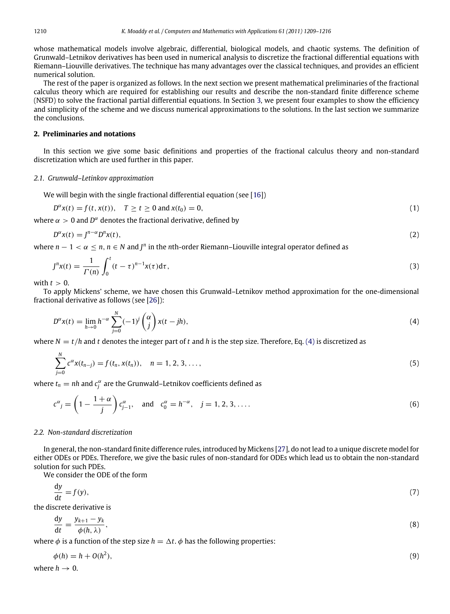whose mathematical models involve algebraic, differential, biological models, and chaotic systems. The definition of Grunwald–Letnikov derivatives has been used in numerical analysis to discretize the fractional differential equations with Riemann–Liouville derivatives. The technique has many advantages over the classical techniques, and provides an efficient numerical solution.

The rest of the paper is organized as follows. In the next section we present mathematical preliminaries of the fractional calculus theory which are required for establishing our results and describe the non-standard finite difference scheme (NSFD) to solve the fractional partial differential equations. In Section [3,](#page-2-0) we present four examples to show the efficiency and simplicity of the scheme and we discuss numerical approximations to the solutions. In the last section we summarize the conclusions.

# **2. Preliminaries and notations**

In this section we give some basic definitions and properties of the fractional calculus theory and non-standard discretization which are used further in this paper.

#### *2.1. Grunwald–Letinkov approximation*

We will begin with the single fractional differential equation (see [\[16\]](#page-7-7))

$$
D^{\alpha}x(t) = f(t, x(t)), \quad T \ge t \ge 0 \text{ and } x(t_0) = 0,
$$
\n(1)

where  $\alpha > 0$  and  $D^{\alpha}$  denotes the fractional derivative, defined by

$$
D^{\alpha}x(t) = J^{n-\alpha}D^{n}x(t),
$$
\n(2)

where  $n-1 < \alpha \leq n$ ,  $n \in N$  and  $J^n$  in the nth-order Riemann–Liouville integral operator defined as

$$
J^{n}x(t) = \frac{1}{\Gamma(n)} \int_0^t (t-\tau)^{n-1} x(\tau) d\tau,
$$
\n(3)

with  $t > 0$ .

To apply Mickens' scheme, we have chosen this Grunwald–Letnikov method approximation for the one-dimensional fractional derivative as follows (see [\[26\]](#page-7-13)):

<span id="page-1-0"></span>
$$
D^{\alpha}x(t) = \lim_{h \to 0} h^{-\alpha} \sum_{j=0}^{N} (-1)^{j} \binom{\alpha}{j} x(t - jh), \tag{4}
$$

where  $N = t/h$  and *t* denotes the integer part of *t* and *h* is the step size. Therefore, Eq. [\(4\)](#page-1-0) is discretized as

$$
\sum_{j=0}^{N} c^{\alpha} x(t_{n-j}) = f(t_n, x(t_n)), \quad n = 1, 2, 3, \dots,
$$
\n(5)

where  $t_n = nh$  and  $c_j^{\alpha}$  are the Grunwald–Letnikov coefficients defined as

$$
c^{\alpha}{}_{j} = \left(1 - \frac{1+\alpha}{j}\right)c^{\alpha}_{j-1}, \text{ and } c^{\alpha}_{0} = h^{-\alpha}, j = 1, 2, 3, ....
$$
 (6)

#### *2.2. Non-standard discretization*

In general, the non-standard finite difference rules, introduced by Mickens [\[27\]](#page-7-14), do not lead to a unique discrete model for either ODEs or PDEs. Therefore, we give the basic rules of non-standard for ODEs which lead us to obtain the non-standard solution for such PDEs.

We consider the ODE of the form

$$
\frac{\mathrm{d}y}{\mathrm{d}t} = f(y),\tag{7}
$$

the discrete derivative is

$$
\frac{\mathrm{d}y}{\mathrm{d}t} = \frac{y_{k+1} - y_k}{\phi(h, \lambda)},\tag{8}
$$

where  $\phi$  is a function of the step size  $h = \Delta t$ .  $\phi$  has the following properties:

<span id="page-1-1"></span>
$$
\phi(h) = h + O(h^2),\tag{9}
$$

where  $h \rightarrow 0$ .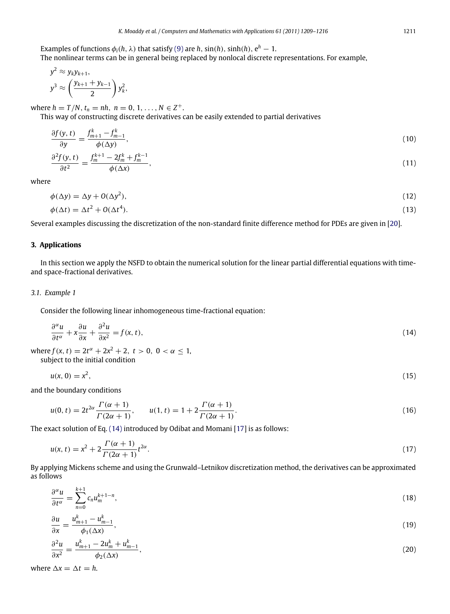The nonlinear terms can be in general being replaced by nonlocal discrete representations. For example,

$$
y^2 \approx y_k y_{k+1},
$$
  

$$
y^3 \approx \left(\frac{y_{k+1} + y_{k-1}}{2}\right) y_k^2,
$$

where  $h = T/N$ ,  $t_n = nh$ ,  $n = 0, 1, ..., N \in Z^+$ .

This way of constructing discrete derivatives can be easily extended to partial derivatives

$$
\frac{\partial f(y,t)}{\partial y} = \frac{f_{m+1}^k - f_{m-1}^k}{\phi(\Delta y)},\tag{10}
$$

$$
\frac{\partial^2 f(y,t)}{\partial t^2} = \frac{f_m^{k+1} - 2f_m^k + f_m^{k-1}}{\phi(\Delta x)},
$$
\n(11)

where

$$
\phi(\Delta y) = \Delta y + O(\Delta y^2),\tag{12}
$$

$$
\phi(\Delta t) = \Delta t^2 + O(\Delta t^4). \tag{13}
$$

Several examples discussing the discretization of the non-standard finite difference method for PDEs are given in [\[20\]](#page-7-11).

## <span id="page-2-0"></span>**3. Applications**

In this section we apply the NSFD to obtain the numerical solution for the linear partial differential equations with timeand space-fractional derivatives.

#### *3.1. Example 1*

Consider the following linear inhomogeneous time-fractional equation:

<span id="page-2-1"></span>
$$
\frac{\partial^{\alpha} u}{\partial t^{\alpha}} + x \frac{\partial u}{\partial x} + \frac{\partial^2 u}{\partial x^2} = f(x, t),
$$
\n(14)

where  $f(x, t) = 2t^{\alpha} + 2x^2 + 2, t > 0, 0 < \alpha \le 1$ ,

subject to the initial condition

 $u(x, 0) = x^2$ ,  $(15)$ 

and the boundary conditions

$$
u(0, t) = 2t^{2\alpha} \frac{\Gamma(\alpha + 1)}{\Gamma(2\alpha + 1)}, \qquad u(1, t) = 1 + 2 \frac{\Gamma(\alpha + 1)}{\Gamma(2\alpha + 1)}.
$$
\n(16)

The exact solution of Eq. [\(14\)](#page-2-1) introduced by Odibat and Momani [\[17\]](#page-7-8) is as follows:

$$
u(x,t) = x^2 + 2\frac{\Gamma(\alpha+1)}{\Gamma(2\alpha+1)}t^{2\alpha}.
$$
\n(17)

By applying Mickens scheme and using the Grunwald–Letnikov discretization method, the derivatives can be approximated as follows

<span id="page-2-2"></span>
$$
\frac{\partial^{\alpha} u}{\partial t^{\alpha}} = \sum_{n=0}^{k+1} c_n u_m^{k+1-n},\tag{18}
$$

<span id="page-2-3"></span>
$$
\frac{\partial u}{\partial x} = \frac{u_{m+1}^k - u_{m-1}^k}{\phi_1(\Delta x)},\tag{19}
$$

$$
\frac{\partial^2 u}{\partial x^2} = \frac{u_{m+1}^k - 2u_m^k + u_{m-1}^k}{\phi_2(\Delta x)},
$$
\n(20)

where  $\Delta x = \Delta t = h$ .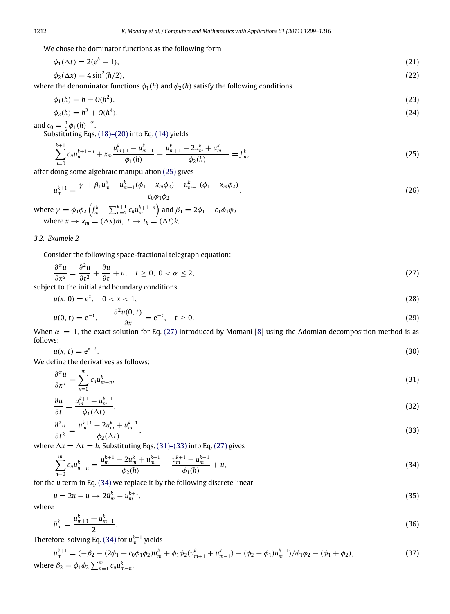We chose the dominator functions as the following form

$$
\phi_1(\Delta t) = 2(e^h - 1),\tag{21}
$$

$$
\phi_2(\Delta x) = 4\sin^2(h/2),\tag{22}
$$

where the denominator functions  $\phi_1(h)$  and  $\phi_2(h)$  satisfy the following conditions

$$
\phi_1(h) = h + O(h^2),\tag{23}
$$

$$
\phi_2(h) = h^2 + O(h^4),\tag{24}
$$

and  $c_0 = \frac{1}{2} \phi_1(h)^{-\alpha}$ .

Substituting Eqs. [\(18\)–\(20\)](#page-2-2) into Eq. [\(14\)](#page-2-1) yields

<span id="page-3-0"></span>
$$
\sum_{n=0}^{k+1} c_n u_m^{k+1-n} + x_m \frac{u_{m+1}^k - u_{m-1}^k}{\phi_1(h)} + \frac{u_{m+1}^k - 2u_m^k + u_{m-1}^k}{\phi_2(h)} = f_m^k,
$$
\n(25)

after doing some algebraic manipulation [\(25\)](#page-3-0) gives

$$
u_m^{k+1} = \frac{\gamma + \beta_1 u_m^k - u_{m+1}^k(\phi_1 + x_m \phi_2) - u_{m-1}^k(\phi_1 - x_m \phi_2)}{c_0 \phi_1 \phi_2},
$$
\n(26)

where  $\gamma = \phi_1 \phi_2 \left( f_m^k - \sum_{n=2}^{k+1} c_n u_m^{k+1-n} \right)$  and  $\beta_1 = 2\phi_1 - c_1 \phi_1 \phi_2$ where  $x \to x_m = (\Delta x)m$ ,  $t \to t_k = (\Delta t)k$ .

#### *3.2. Example 2*

Consider the following space-fractional telegraph equation:

$$
\frac{\partial^{\alpha} u}{\partial x^{\alpha}} = \frac{\partial^2 u}{\partial t^2} + \frac{\partial u}{\partial t} + u, \quad t \ge 0, \ 0 < \alpha \le 2,\tag{27}
$$

subject to the initial and boundary conditions

<span id="page-3-1"></span>
$$
u(x, 0) = e^x, \quad 0 < x < 1,\tag{28}
$$

$$
u(0, t) = e^{-t}, \qquad \frac{\partial^2 u(0, t)}{\partial x} = e^{-t}, \quad t \ge 0.
$$
 (29)

When  $\alpha = 1$ , the exact solution for Eq. [\(27\)](#page-3-1) introduced by Momani [\[8\]](#page-7-2) using the Adomian decomposition method is as follows:

$$
u(x,t) = e^{x-t}.\tag{30}
$$

We define the derivatives as follows:

<span id="page-3-2"></span>
$$
\frac{\partial^{\alpha} u}{\partial x^{\alpha}} = \sum_{n=0}^{m} c_n u_{m-n}^{k},\tag{31}
$$

$$
\frac{\partial u}{\partial t} = \frac{u_m^{k+1} - u_m^{k-1}}{(t+1)^k},\tag{32}
$$

$$
\frac{\partial t}{\partial^2 u} = u_m^{k+1} - 2u_m^k + u_m^{k-1}
$$
\n
$$
(22)
$$

$$
\frac{\partial^2 u}{\partial t^2} = \frac{a_m - 2a_m + a_m}{\phi_2(\Delta t)},
$$
\n(33)

where  $\Delta x = \Delta t = h$ . Substituting Eqs. [\(31\)–\(33\)](#page-3-2) into Eq. [\(27\)](#page-3-1) gives

<span id="page-3-3"></span>
$$
\sum_{n=0}^{m} c_n u_{m-n}^k = \frac{u_m^{k+1} - 2u_m^k + u_m^{k-1}}{\phi_2(h)} + \frac{u_m^{k+1} - u_m^{k-1}}{\phi_1(h)} + u,\tag{34}
$$

for the *u* term in Eq. [\(34\)](#page-3-3) we replace it by the following discrete linear

$$
u = 2u - u \to 2\bar{u}_m^k - u_m^{k+1},\tag{35}
$$

where

$$
\bar{u}_m^k = \frac{u_{m+1}^k + u_{m-1}^k}{2}.\tag{36}
$$

Therefore, solving Eq.  $(34)$  for  $u_m^{k+1}$  yields

$$
u_m^{k+1} = (-\beta_2 - (2\phi_1 + c_0\phi_1\phi_2)u_m^k + \phi_1\phi_2(u_{m+1}^k + u_{m-1}^k) - (\phi_2 - \phi_1)u_m^{k-1})/\phi_1\phi_2 - (\phi_1 + \phi_2),
$$
  
where  $\beta_2 = \phi_1\phi_2 \sum_{n=1}^m c_n u_{m-n}^k$ . (37)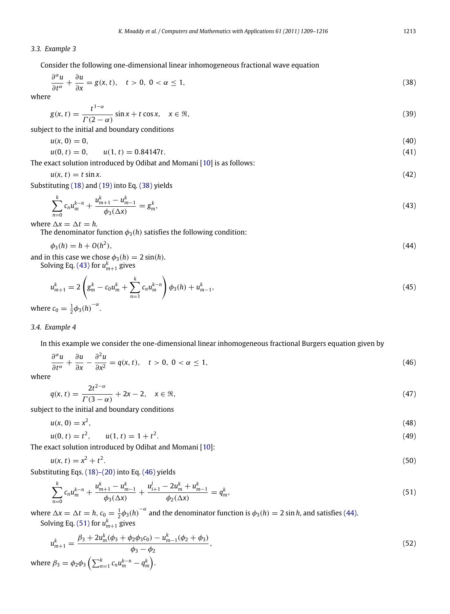#### *3.3. Example 3*

Consider the following one-dimensional linear inhomogeneous fractional wave equation

<span id="page-4-0"></span>
$$
\frac{\partial^{\alpha} u}{\partial t^{\alpha}} + \frac{\partial u}{\partial x} = g(x, t), \quad t > 0, \ 0 < \alpha \le 1,
$$
\n(38)

where

$$
g(x,t) = \frac{t^{1-\alpha}}{\Gamma(2-\alpha)}\sin x + t\cos x, \quad x \in \mathbb{R},\tag{39}
$$

subject to the initial and boundary conditions

$$
u(x,0)=0,\t\t(40)
$$

$$
u(0, t) = 0, \qquad u(1, t) = 0.84147t. \tag{41}
$$

The exact solution introduced by Odibat and Momani [\[10\]](#page-7-4) is as follows:

$$
u(x,t) = t \sin x. \tag{42}
$$

Substituting [\(18\)](#page-2-2) and [\(19\)](#page-2-3) into Eq. [\(38\)](#page-4-0) yields

<span id="page-4-3"></span><span id="page-4-1"></span>
$$
\sum_{n=0}^{k} c_n u_m^{k-n} + \frac{u_{m+1}^k - u_{m-1}^k}{\phi_3(\Delta x)} = g_m^k,
$$
\n(43)

where  $\Delta x = \Delta t = h$ .

The denominator function  $\phi_3(h)$  satisfies the following condition:

$$
\phi_3(h) = h + O(h^2),\tag{44}
$$

and in this case we chose  $\phi_3(h) = 2 \sin(h)$ . Solving Eq. [\(43\)](#page-4-1) for  $u_{m+1}^k$  gives

$$
u_{m+1}^k = 2\left(g_m^k - c_0 u_m^k + \sum_{n=1}^k c_n u_m^{k-n}\right)\phi_3(h) + u_{m-1}^k,
$$
\n(45)

where  $c_0 = \frac{1}{2} \phi_3(h)^{-\alpha}$ .

#### *3.4. Example 4*

In this example we consider the one-dimensional linear inhomogeneous fractional Burgers equation given by

$$
\frac{\partial^{\alpha} u}{\partial t^{\alpha}} + \frac{\partial u}{\partial x} - \frac{\partial^2 u}{\partial x^2} = q(x, t), \quad t > 0, \ 0 < \alpha \le 1,
$$
\n(46)

where

<span id="page-4-2"></span>
$$
q(x,t) = \frac{2t^{2-\alpha}}{\Gamma(3-\alpha)} + 2x - 2, \quad x \in \mathfrak{R},\tag{47}
$$

subject to the initial and boundary conditions

$$
u(x, 0) = x^2,\tag{48}
$$

$$
u(0, t) = t2, \qquad u(1, t) = 1 + t2.
$$
 (49)

The exact solution introduced by Odibat and Momani [\[10\]](#page-7-4):

$$
u(x, t) = x^2 + t^2. \tag{50}
$$

Substituting Eqs. [\(18\)–\(20\)](#page-2-2) into Eq. [\(46\)](#page-4-2) yields

<span id="page-4-4"></span>
$$
\sum_{n=0}^{k} c_n u_m^{k-n} + \frac{u_{m+1}^k - u_{m-1}^k}{\phi_3(\Delta x)} + \frac{u_{i+1}^j - 2u_m^k + u_{m-1}^k}{\phi_2(\Delta x)} = q_m^k,
$$
\n(51)

where  $\Delta x = \Delta t = h$ ,  $c_0 = \frac{1}{2} \phi_3(h)^{-\alpha}$  and the denominator function is  $\phi_3(h) = 2 \sin h$ , and satisfies [\(44\).](#page-4-3) Solving Eq. [\(51\)](#page-4-4) for  $u_{m+1}^k$  gives

$$
u_{m+1}^{k} = \frac{\beta_3 + 2u_m^k(\phi_3 + \phi_2\phi_3 c_0) - u_{m-1}^k(\phi_2 + \phi_3)}{\phi_3 - \phi_2},
$$
  
where  $\beta_3 = \phi_2\phi_3 \left( \sum_{n=1}^k c_n u_m^{k-n} - q_m^k \right).$  (52)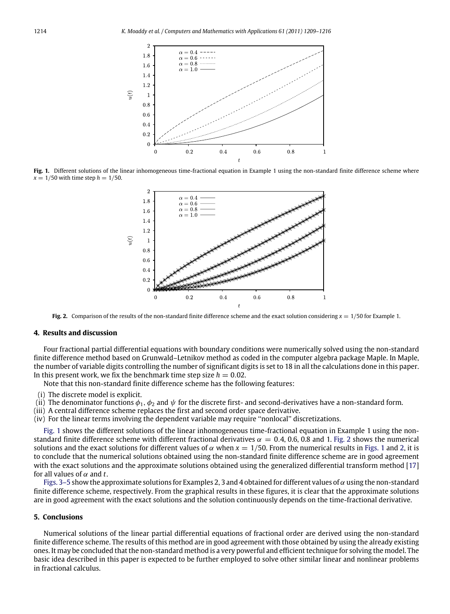<span id="page-5-0"></span>

<span id="page-5-1"></span>**Fig. 1.** Different solutions of the linear inhomogeneous time-fractional equation in Example 1 using the non-standard finite difference scheme where  $x = 1/50$  with time step  $h = 1/50$ .



**Fig. 2.** Comparison of the results of the non-standard finite difference scheme and the exact solution considering  $x = 1/50$  for Example 1.

#### **4. Results and discussion**

Four fractional partial differential equations with boundary conditions were numerically solved using the non-standard finite difference method based on Grunwald–Letnikov method as coded in the computer algebra package Maple. In Maple, the number of variable digits controlling the number of significant digits is set to 18 in all the calculations done in this paper. In this present work, we fix the benchmark time step size  $h = 0.02$ .

Note that this non-standard finite difference scheme has the following features:

- (i) The discrete model is explicit.
- (ii) The denominator functions  $\phi_1, \phi_2$  and  $\psi$  for the discrete first- and second-derivatives have a non-standard form.
- (iii) A central difference scheme replaces the first and second order space derivative.
- (iv) For the linear terms involving the dependent variable may require ''nonlocal'' discretizations.

[Fig. 1](#page-5-0) shows the different solutions of the linear inhomogeneous time-fractional equation in Example 1 using the nonstandard finite difference scheme with different fractional derivatives  $\alpha = 0.4, 0.6, 0.8$  and 1. [Fig. 2](#page-5-1) shows the numerical solutions and the exact solutions for different values of  $\alpha$  when  $x = 1/50$ . From the numerical results in [Figs. 1](#page-5-0) and [2,](#page-5-1) it is to conclude that the numerical solutions obtained using the non-standard finite difference scheme are in good agreement with the exact solutions and the approximate solutions obtained using the generalized differential transform method [\[17\]](#page-7-8) for all values of  $\alpha$  and *t*.

[Figs. 3–5](#page-6-2) show the approximate solutions for Examples 2, 3 and 4 obtained for different values of  $\alpha$  using the non-standard finite difference scheme, respectively. From the graphical results in these figures, it is clear that the approximate solutions are in good agreement with the exact solutions and the solution continuously depends on the time-fractional derivative.

#### **5. Conclusions**

Numerical solutions of the linear partial differential equations of fractional order are derived using the non-standard finite difference scheme. The results of this method are in good agreement with those obtained by using the already existing ones. It may be concluded that the non-standard method is a very powerful and efficient technique for solving the model. The basic idea described in this paper is expected to be further employed to solve other similar linear and nonlinear problems in fractional calculus.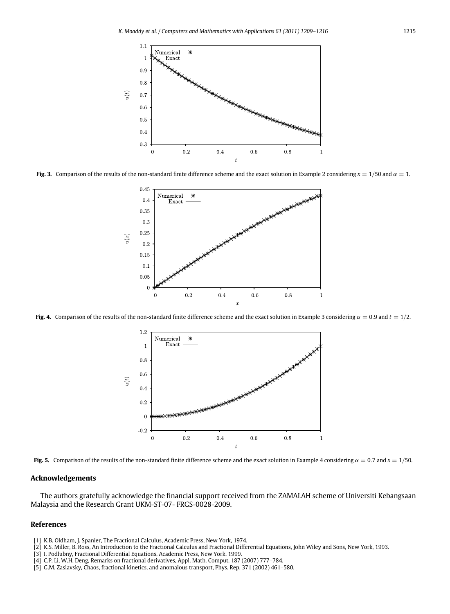<span id="page-6-2"></span>

**Fig. 3.** Comparison of the results of the non-standard finite difference scheme and the exact solution in Example 2 considering  $x = 1/50$  and  $\alpha = 1$ .



**Fig. 4.** Comparison of the results of the non-standard finite difference scheme and the exact solution in Example 3 considering  $\alpha = 0.9$  and  $t = 1/2$ .



**Fig. 5.** Comparison of the results of the non-standard finite difference scheme and the exact solution in Example 4 considering  $\alpha = 0.7$  and  $x = 1/50$ .

#### **Acknowledgements**

The authors gratefully acknowledge the financial support received from the ZAMALAH scheme of Universiti Kebangsaan Malaysia and the Research Grant UKM-ST-07- FRGS-0028-2009.

#### **References**

- <span id="page-6-0"></span>[1] K.B. Oldham, J. Spanier, The Fractional Calculus, Academic Press, New York, 1974.
- [2] K.S. Miller, B. Ross, An Introduction to the Fractional Calculus and Fractional Differential Equations, John Wiley and Sons, New York, 1993.
- [3] I. Podlubny, Fractional Differential Equations, Academic Press, New York, 1999.
- [4] C.P. Li, W.H. Deng, Remarks on fractional derivatives, Appl. Math. Comput. 187 (2007) 777–784.
- <span id="page-6-1"></span>[5] G.M. Zaslavsky, Chaos, fractional kinetics, and anomalous transport, Phys. Rep. 371 (2002) 461–580.